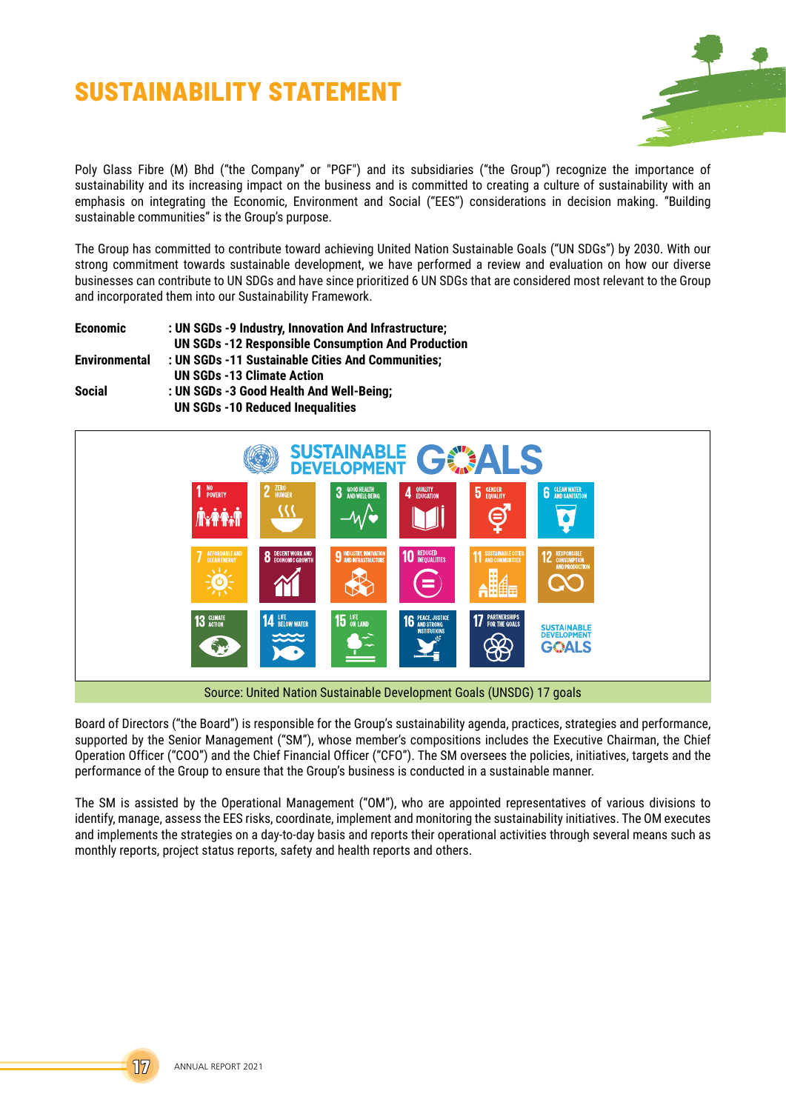# **SUSTAINABILITY STATEMENT**



Poly Glass Fibre (M) Bhd ("the Company" or "PGF") and its subsidiaries ("the Group") recognize the importance of sustainability and its increasing impact on the business and is committed to creating a culture of sustainability with an emphasis on integrating the Economic, Environment and Social ("EES") considerations in decision making. "Building sustainable communities" is the Group's purpose.

The Group has committed to contribute toward achieving United Nation Sustainable Goals ("UN SDGs") by 2030. With our strong commitment towards sustainable development, we have performed a review and evaluation on how our diverse businesses can contribute to UN SDGs and have since prioritized 6 UN SDGs that are considered most relevant to the Group and incorporated them into our Sustainability Framework.

| <b>Economic</b>      | : UN SGDs -9 Industry, Innovation And Infrastructure;     |
|----------------------|-----------------------------------------------------------|
|                      | <b>UN SGDs -12 Responsible Consumption And Production</b> |
| <b>Environmental</b> | : UN SGDs -11 Sustainable Cities And Communities;         |
|                      | <b>UN SGDs -13 Climate Action</b>                         |
| Social               | : UN SGDs -3 Good Health And Well-Being;                  |
|                      | <b>UN SGDs -10 Reduced Inequalities</b>                   |



Board of Directors ("the Board") is responsible for the Group's sustainability agenda, practices, strategies and performance, supported by the Senior Management ("SM"), whose member's compositions includes the Executive Chairman, the Chief Operation Officer ("COO") and the Chief Financial Officer ("CFO"). The SM oversees the policies, initiatives, targets and the performance of the Group to ensure that the Group's business is conducted in a sustainable manner.

The SM is assisted by the Operational Management ("OM"), who are appointed representatives of various divisions to identify, manage, assess the EES risks, coordinate, implement and monitoring the sustainability initiatives. The OM executes and implements the strategies on a day-to-day basis and reports their operational activities through several means such as monthly reports, project status reports, safety and health reports and others.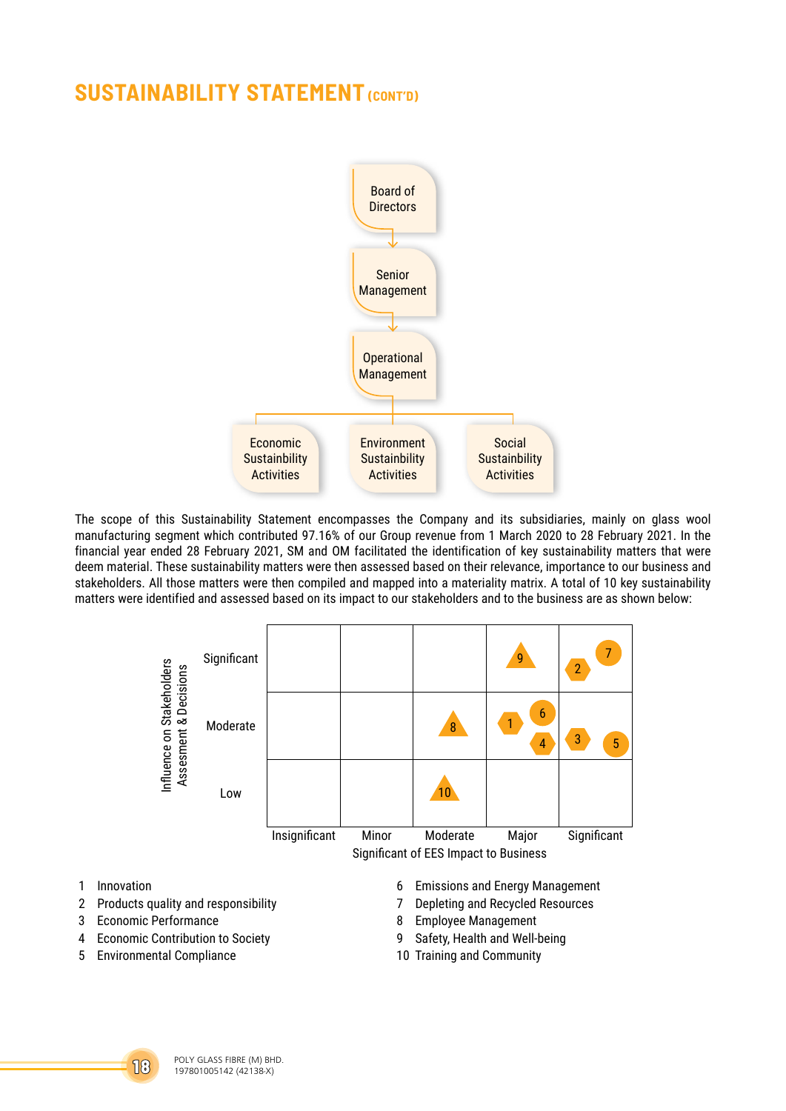

The scope of this Sustainability Statement encompasses the Company and its subsidiaries, mainly on glass wool manufacturing segment which contributed 97.16% of our Group revenue from 1 March 2020 to 28 February 2021. In the financial year ended 28 February 2021, SM and OM facilitated the identification of key sustainability matters that were deem material. These sustainability matters were then assessed based on their relevance, importance to our business and stakeholders. All those matters were then compiled and mapped into a materiality matrix. A total of 10 key sustainability matters were identified and assessed based on its impact to our stakeholders and to the business are as shown below:



- 
- 2 Products quality and responsibility **7** Depleting and Recycled Resources
- 
- 4 Economic Contribution to Society 9 Safety, Health and Well-being
- 5 Environmental Compliance 10 Training and Community
- 
- 
- 3 Economic Performance **8 Employee Management** 
	-
	-

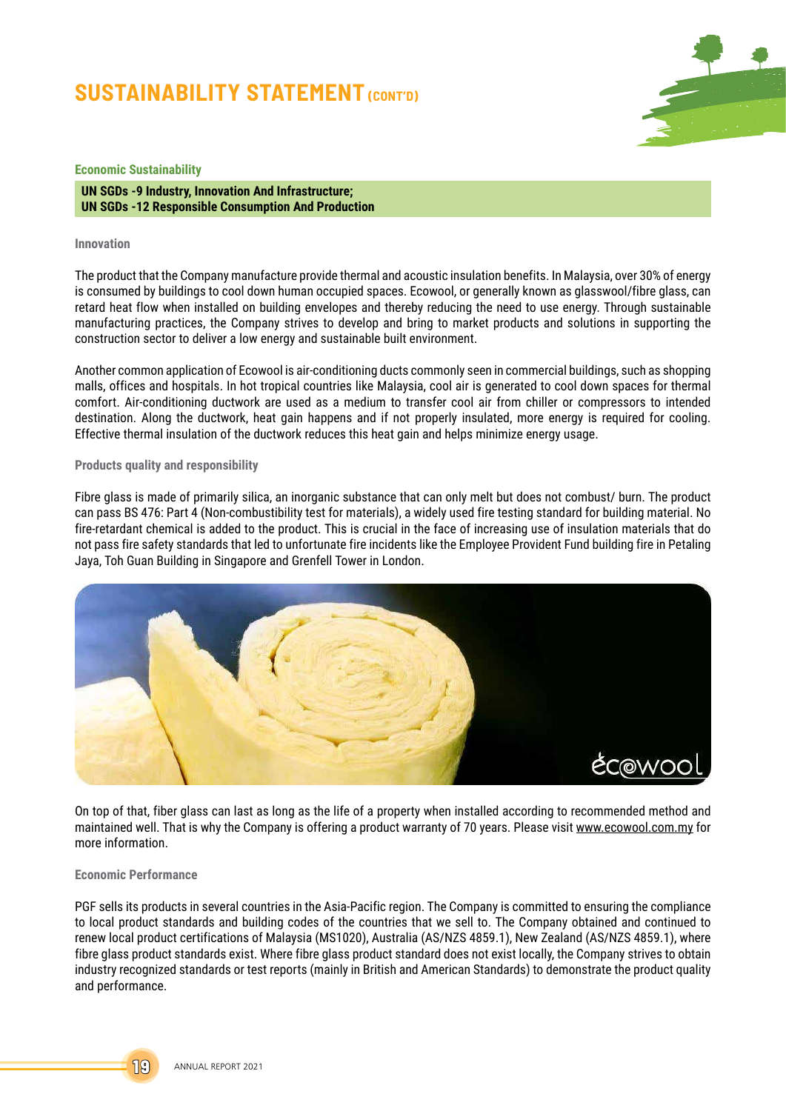

### **Economic Sustainability**

**UN SGDs -9 Industry, Innovation And Infrastructure; UN SGDs -12 Responsible Consumption And Production**

#### **Innovation**

The product that the Company manufacture provide thermal and acoustic insulation benefits. In Malaysia, over 30% of energy is consumed by buildings to cool down human occupied spaces. Ecowool, or generally known as glasswool/fibre glass, can retard heat flow when installed on building envelopes and thereby reducing the need to use energy. Through sustainable manufacturing practices, the Company strives to develop and bring to market products and solutions in supporting the construction sector to deliver a low energy and sustainable built environment.

Another common application of Ecowool is air-conditioning ducts commonly seen in commercial buildings, such as shopping malls, offices and hospitals. In hot tropical countries like Malaysia, cool air is generated to cool down spaces for thermal comfort. Air-conditioning ductwork are used as a medium to transfer cool air from chiller or compressors to intended destination. Along the ductwork, heat gain happens and if not properly insulated, more energy is required for cooling. Effective thermal insulation of the ductwork reduces this heat gain and helps minimize energy usage.

#### **Products quality and responsibility**

Fibre glass is made of primarily silica, an inorganic substance that can only melt but does not combust/ burn. The product can pass BS 476: Part 4 (Non-combustibility test for materials), a widely used fire testing standard for building material. No fire-retardant chemical is added to the product. This is crucial in the face of increasing use of insulation materials that do not pass fire safety standards that led to unfortunate fire incidents like the Employee Provident Fund building fire in Petaling Jaya, Toh Guan Building in Singapore and Grenfell Tower in London.



On top of that, fiber glass can last as long as the life of a property when installed according to recommended method and maintained well. That is why the Company is offering a product warranty of 70 years. Please visit www.ecowool.com.my for more information.

#### **Economic Performance**

PGF sells its products in several countries in the Asia-Pacific region. The Company is committed to ensuring the compliance to local product standards and building codes of the countries that we sell to. The Company obtained and continued to renew local product certifications of Malaysia (MS1020), Australia (AS/NZS 4859.1), New Zealand (AS/NZS 4859.1), where fibre glass product standards exist. Where fibre glass product standard does not exist locally, the Company strives to obtain industry recognized standards or test reports (mainly in British and American Standards) to demonstrate the product quality and performance.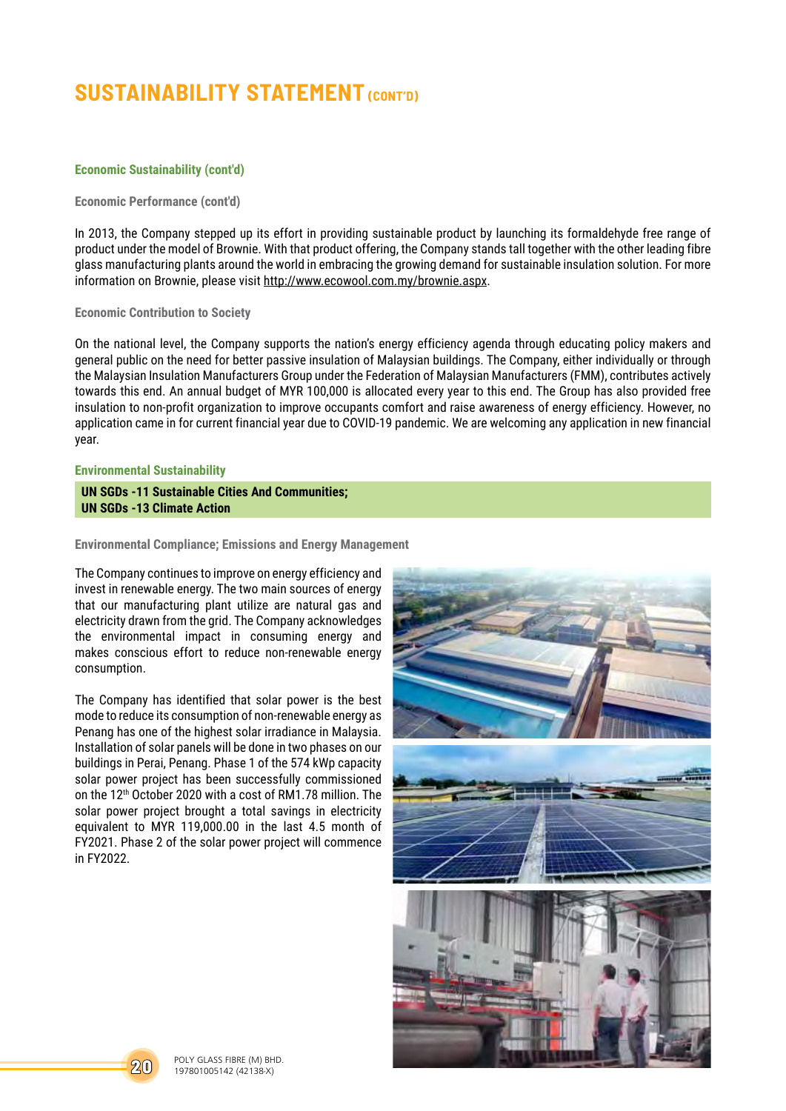## **Economic Sustainability (cont'd)**

### **Economic Performance (cont'd)**

In 2013, the Company stepped up its effort in providing sustainable product by launching its formaldehyde free range of product under the model of Brownie. With that product offering, the Company stands tall together with the other leading fibre glass manufacturing plants around the world in embracing the growing demand for sustainable insulation solution. For more information on Brownie, please visit http://www.ecowool.com.my/brownie.aspx.

## **Economic Contribution to Society**

On the national level, the Company supports the nation's energy efficiency agenda through educating policy makers and general public on the need for better passive insulation of Malaysian buildings. The Company, either individually or through the Malaysian Insulation Manufacturers Group under the Federation of Malaysian Manufacturers (FMM), contributes actively towards this end. An annual budget of MYR 100,000 is allocated every year to this end. The Group has also provided free insulation to non-profit organization to improve occupants comfort and raise awareness of energy efficiency. However, no application came in for current financial year due to COVID-19 pandemic. We are welcoming any application in new financial year.

### **Environmental Sustainability**

**UN SGDs -11 Sustainable Cities And Communities; UN SGDs -13 Climate Action**

### **Environmental Compliance; Emissions and Energy Management**

The Company continues to improve on energy efficiency and invest in renewable energy. The two main sources of energy that our manufacturing plant utilize are natural gas and electricity drawn from the grid. The Company acknowledges the environmental impact in consuming energy and makes conscious effort to reduce non-renewable energy consumption.

The Company has identified that solar power is the best mode to reduce its consumption of non-renewable energy as Penang has one of the highest solar irradiance in Malaysia. Installation of solar panels will be done in two phases on our buildings in Perai, Penang. Phase 1 of the 574 kWp capacity solar power project has been successfully commissioned on the 12th October 2020 with a cost of RM1.78 million. The solar power project brought a total savings in electricity equivalent to MYR 119,000.00 in the last 4.5 month of FY2021. Phase 2 of the solar power project will commence in FY2022.



**20** POLY GLASS FIBRE (M) BHD. 197801005142 (42138-X)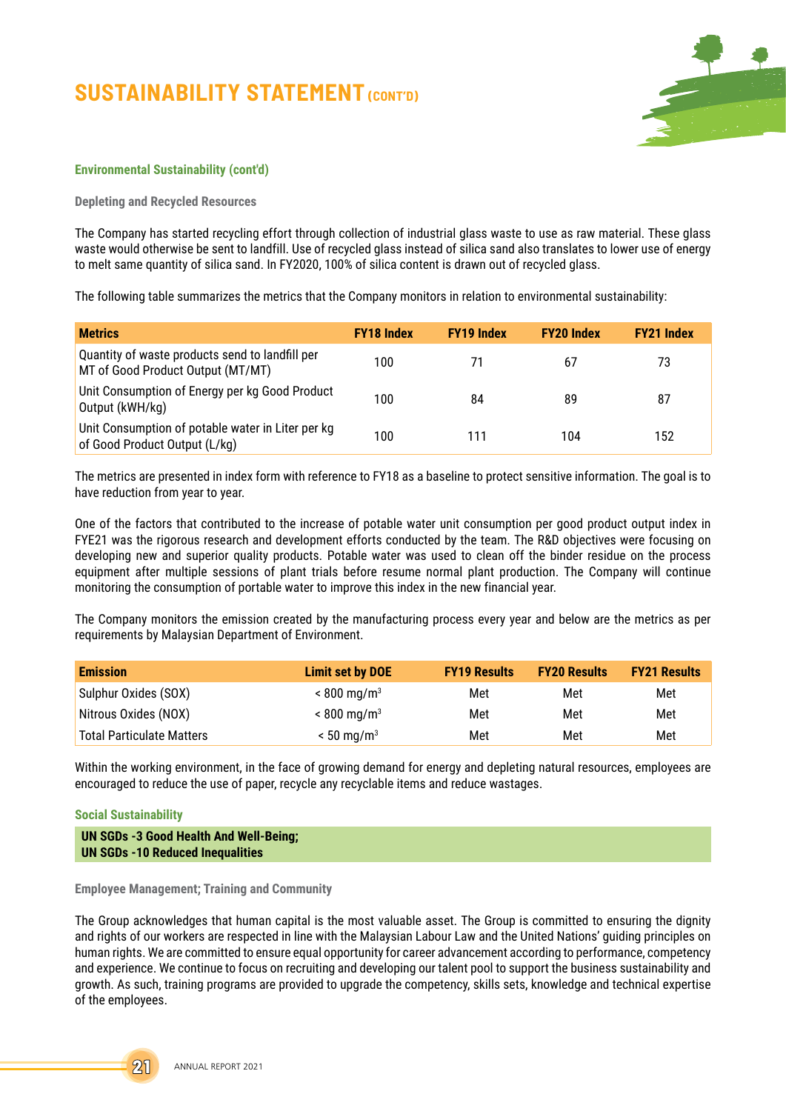

### **Environmental Sustainability (cont'd)**

**Depleting and Recycled Resources**

The Company has started recycling effort through collection of industrial glass waste to use as raw material. These glass waste would otherwise be sent to landfill. Use of recycled glass instead of silica sand also translates to lower use of energy to melt same quantity of silica sand. In FY2020, 100% of silica content is drawn out of recycled glass.

The following table summarizes the metrics that the Company monitors in relation to environmental sustainability:

| <b>Metrics</b>                                                                       | <b>FY18 Index</b> | <b>FY19 Index</b> | <b>FY20 Index</b> | <b>FY21 Index</b> |
|--------------------------------------------------------------------------------------|-------------------|-------------------|-------------------|-------------------|
| Quantity of waste products send to landfill per<br>MT of Good Product Output (MT/MT) | 100               |                   | 67                | 73                |
| Unit Consumption of Energy per kg Good Product<br>Output (kWH/kg)                    | 100               | 84                | 89                | 87                |
| Unit Consumption of potable water in Liter per kg<br>of Good Product Output (L/kg)   | 100               | 111               | 104               | 152               |

The metrics are presented in index form with reference to FY18 as a baseline to protect sensitive information. The goal is to have reduction from year to year.

One of the factors that contributed to the increase of potable water unit consumption per good product output index in FYE21 was the rigorous research and development efforts conducted by the team. The R&D objectives were focusing on developing new and superior quality products. Potable water was used to clean off the binder residue on the process equipment after multiple sessions of plant trials before resume normal plant production. The Company will continue monitoring the consumption of portable water to improve this index in the new financial year.

The Company monitors the emission created by the manufacturing process every year and below are the metrics as per requirements by Malaysian Department of Environment.

| <b>Emission</b>                  | <b>Limit set by DOE</b>   | <b>FY19 Results</b> | <b>FY20 Results</b> | <b>FY21 Results</b> |
|----------------------------------|---------------------------|---------------------|---------------------|---------------------|
| Sulphur Oxides (SOX)             | $< 800 \,\mathrm{mg/m^3}$ | Met                 | Met                 | Met                 |
| Nitrous Oxides (NOX)             | $< 800 \,\mathrm{mg/m^3}$ | Met                 | Met                 | Met                 |
| <b>Total Particulate Matters</b> | $< 50$ mg/m <sup>3</sup>  | Met                 | Met                 | Met                 |

Within the working environment, in the face of growing demand for energy and depleting natural resources, employees are encouraged to reduce the use of paper, recycle any recyclable items and reduce wastages.

## **Social Sustainability**

```
UN SGDs -3 Good Health And Well-Being;
UN SGDs -10 Reduced Inequalities
```
**Employee Management; Training and Community**

The Group acknowledges that human capital is the most valuable asset. The Group is committed to ensuring the dignity and rights of our workers are respected in line with the Malaysian Labour Law and the United Nations' guiding principles on human rights. We are committed to ensure equal opportunity for career advancement according to performance, competency and experience. We continue to focus on recruiting and developing our talent pool to support the business sustainability and growth. As such, training programs are provided to upgrade the competency, skills sets, knowledge and technical expertise of the employees.